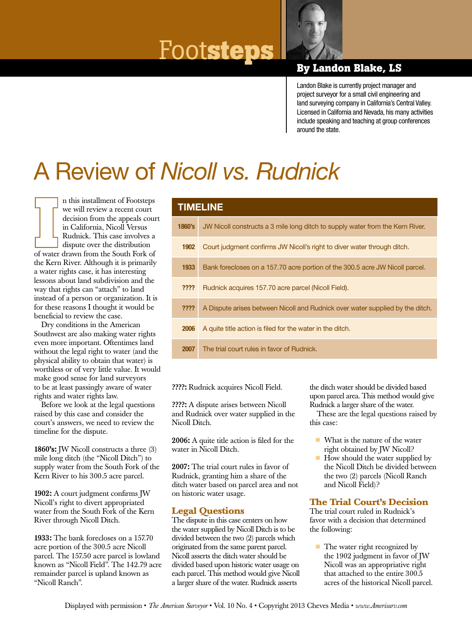# $\frac{1}{2}$  **FOOtsteps By Landon Blake, LS**



Landon Blake is currently project manager and project surveyor for a small civil engineering and land surveying company in California's Central Valley. Licensed in California and Nevada, his many activities include speaking and teaching at group conferences around the state.

## A Review of *Nicoll vs. Rudnick*

n this installment of Footsteps we will review a recent court decision from the appeals court in California, Nicoll Versus Rudnick. This case involves a dispute over the distribution of water drawn from the South Fork of the Kern River. Although it is primarily a water rights case, it has interesting lessons about land subdivision and the way that rights can "attach" to land instead of a person or organization. It is for these reasons I thought it would be beneficial to review the case.

Dry conditions in the American Southwest are also making water rights even more important. Oftentimes land without the legal right to water (and the physical ability to obtain that water) is worthless or of very little value. It would make good sense for land surveyors to be at least passingly aware of water rights and water rights law.

Before we look at the legal questions raised by this case and consider the court's answers, we need to review the timeline for the dispute.

1860's: JW Nicoll constructs a three (3) mile long ditch (the "Nicoll Ditch") to supply water from the South Fork of the Kern River to his 300.5 acre parcel.

1902: A court judgment confirms JW Nicoll's right to divert appropriated water from the South Fork of the Kern River through Nicoll Ditch.

1933: The bank forecloses on a 157.70 acre portion of the 300.5 acre Nicoll parcel. The 157.50 acre parcel is lowland known as "Nicoll Field". The 142.79 acre remainder parcel is upland known as "Nicoll Ranch".

#### TIMELINE

| <b>1860's</b> | JW Nicoll constructs a 3 mile long ditch to supply water from the Kern River. |
|---------------|-------------------------------------------------------------------------------|
| 1902          | Court judgment confirms JW Nicoll's right to diver water through ditch.       |
| 1933          | Bank forecloses on a 157.70 acre portion of the 300.5 acre JW Nicoll parcel.  |
| ????          | Rudnick acquires 157.70 acre parcel (Nicoll Field).                           |
| ????          | A Dispute arises between Nicoll and Rudnick over water supplied by the ditch. |
| 2006          | A quite title action is filed for the water in the ditch.                     |
| 2007          | The trial court rules in favor of Rudnick.                                    |

????: Rudnick acquires Nicoll Field.

????: A dispute arises between Nicoll and Rudnick over water supplied in the Nicoll Ditch.

2006: A quite title action is filed for the water in Nicoll Ditch.

2007: The trial court rules in favor of Rudnick, granting him a share of the ditch water based on parcel area and not on historic water usage.

#### **Legal Questions**

The dispute in this case centers on how the water supplied by Nicoll Ditch is to be divided between the two (2) parcels which originated from the same parent parcel. Nicoll asserts the ditch water should be divided based upon historic water usage on each parcel. This method would give Nicoll a larger share of the water. Rudnick asserts

the ditch water should be divided based upon parcel area. This method would give Rudnick a larger share of the water.

These are the legal questions raised by this case:

- $\blacksquare$  What is the nature of the water right obtained by JW Nicoll?
- How should the water supplied by the Nicoll Ditch be divided between the two (2) parcels (Nicoll Ranch and Nicoll Field)?

### **The Trial Court's Decision**

The trial court ruled in Rudnick's favor with a decision that determined the following:

■ The water right recognized by the 1902 judgment in favor of JW Nicoll was an appropriative right that attached to the entire 300.5 acres of the historical Nicoll parcel.